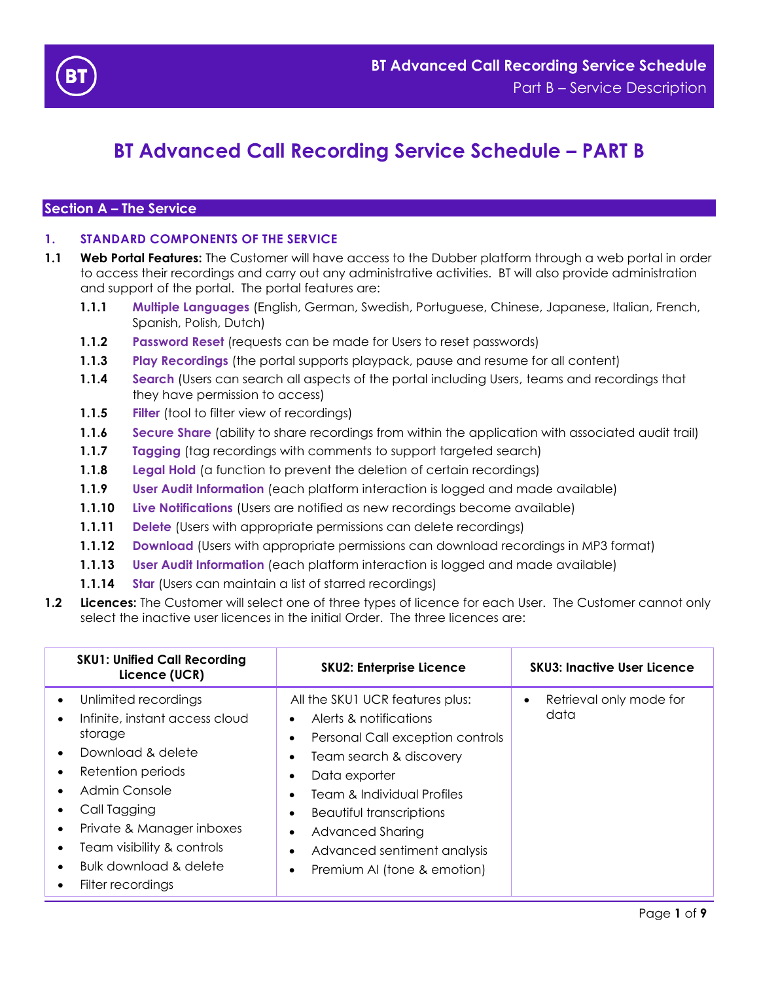

# **BT Advanced Call Recording Service Schedule – PART B**

## **Section A – The Service**

## **1. STANDARD COMPONENTS OF THE SERVICE**

- **1.1 Web Portal Features:** The Customer will have access to the Dubber platform through a web portal in order to access their recordings and carry out any administrative activities. BT will also provide administration and support of the portal. The portal features are:
	- **1.1.1 Multiple Languages** (English, German, Swedish, Portuguese, Chinese, Japanese, Italian, French, Spanish, Polish, Dutch)
	- **1.1.2 Password Reset** (requests can be made for Users to reset passwords)
	- **1.1.3 Play Recordings** (the portal supports playpack, pause and resume for all content)
	- **1.1.4 Search** (Users can search all aspects of the portal including Users, teams and recordings that they have permission to access)
	- **1.1.5 Filter** (tool to filter view of recordings)
	- **1.1.6** Secure Share (ability to share recordings from within the application with associated audit trail)
	- **1.1.7 Tagging** (tag recordings with comments to support targeted search)
	- **1.1.8 Legal Hold** (a function to prevent the deletion of certain recordings)
	- **1.1.9 User Audit Information** (each platform interaction is logged and made available)
	- **1.1.10 Live Notifications** (Users are notified as new recordings become available)
	- **1.1.11 Delete** (Users with appropriate permissions can delete recordings)
	- **1.1.12 Download** (Users with appropriate permissions can download recordings in MP3 format)
	- **1.1.13 User Audit Information** (each platform interaction is logged and made available)
	- **1.1.14 Star** (Users can maintain a list of starred recordings)
- **1.2 Licences:** The Customer will select one of three types of licence for each User. The Customer cannot only select the inactive user licences in the initial Order. The three licences are:

| <b>SKU1: Unified Call Recording</b><br>Licence (UCR)                                                                                                                                                                                                                                                                                                           | <b>SKU2: Enterprise Licence</b>                                                                                                                                                                                                                                                                                                                                                                            | <b>SKU3: Inactive User Licence</b> |
|----------------------------------------------------------------------------------------------------------------------------------------------------------------------------------------------------------------------------------------------------------------------------------------------------------------------------------------------------------------|------------------------------------------------------------------------------------------------------------------------------------------------------------------------------------------------------------------------------------------------------------------------------------------------------------------------------------------------------------------------------------------------------------|------------------------------------|
| Unlimited recordings<br>$\bullet$<br>Infinite, instant access cloud<br>$\bullet$<br>storage<br>Download & delete<br>$\bullet$<br>Retention periods<br>$\bullet$<br>Admin Console<br>Call Tagging<br>Private & Manager inboxes<br>$\bullet$<br>Team visibility & controls<br>$\bullet$<br>Bulk download & delete<br>$\bullet$<br>Filter recordings<br>$\bullet$ | All the SKU1 UCR features plus:<br>Alerts & notifications<br>$\bullet$<br>Personal Call exception controls<br>$\bullet$<br>Team search & discovery<br>$\bullet$<br>Data exporter<br>$\bullet$<br>Team & Individual Profiles<br>$\bullet$<br>Beautiful transcriptions<br>$\bullet$<br>Advanced Sharing<br>$\bullet$<br>Advanced sentiment analysis<br>$\bullet$<br>Premium AI (tone & emotion)<br>$\bullet$ | Retrieval only mode for<br>data    |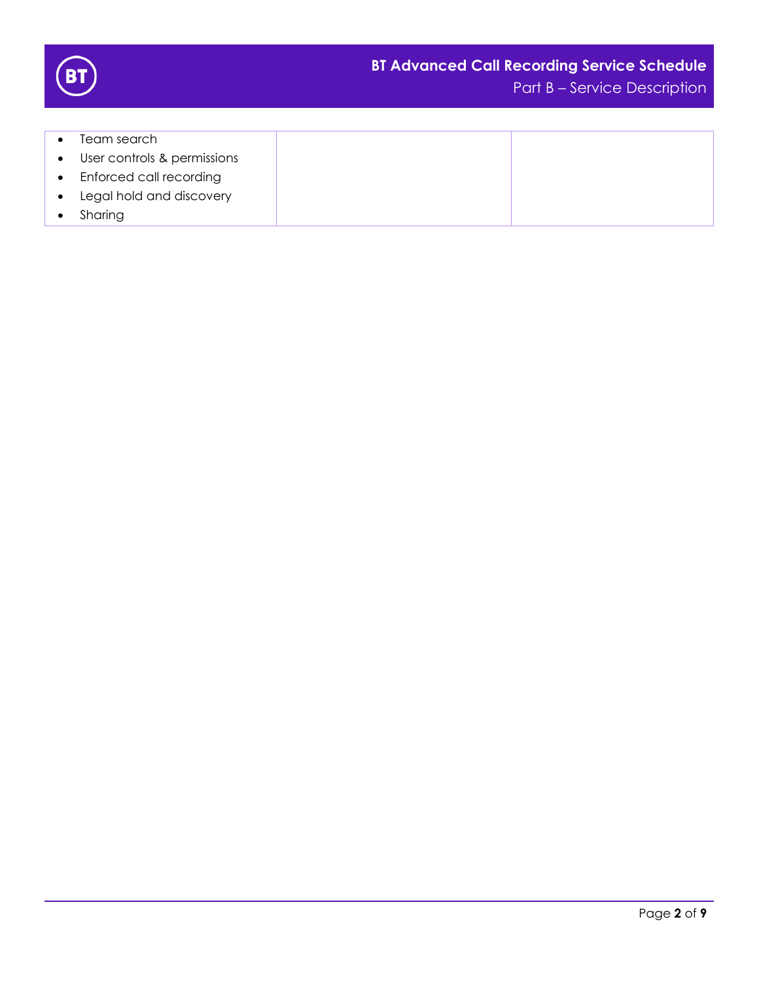

- Team search
- User controls & permissions
- Enforced call recording
- Legal hold and discovery
- Sharing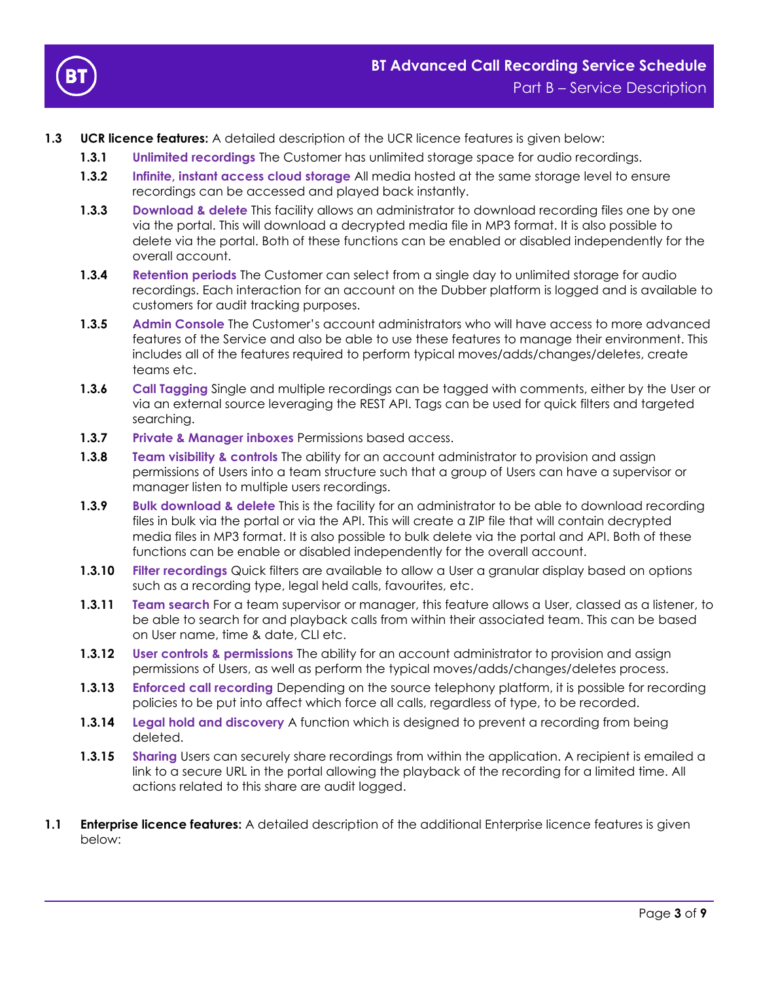

- **1.3 UCR licence features:** A detailed description of the UCR licence features is given below:
	- **1.3.1 Unlimited recordings** The Customer has unlimited storage space for audio recordings.
	- **1.3.2 Infinite, instant access cloud storage** All media hosted at the same storage level to ensure recordings can be accessed and played back instantly.
	- **1.3.3 Download & delete** This facility allows an administrator to download recording files one by one via the portal. This will download a decrypted media file in MP3 format. It is also possible to delete via the portal. Both of these functions can be enabled or disabled independently for the overall account.
	- **1.3.4 Retention periods** The Customer can select from a single day to unlimited storage for audio recordings. Each interaction for an account on the Dubber platform is logged and is available to customers for audit tracking purposes.
	- **1.3.5 Admin Console** The Customer's account administrators who will have access to more advanced features of the Service and also be able to use these features to manage their environment. This includes all of the features required to perform typical moves/adds/changes/deletes, create teams etc.
	- **1.3.6 Call Tagging** Single and multiple recordings can be tagged with comments, either by the User or via an external source leveraging the REST API. Tags can be used for quick filters and targeted searching.
	- **1.3.7 Private & Manager inboxes** Permissions based access.
	- **1.3.8 Team visibility & controls** The ability for an account administrator to provision and assign permissions of Users into a team structure such that a group of Users can have a supervisor or manager listen to multiple users recordings.
	- **1.3.9 Bulk download & delete** This is the facility for an administrator to be able to download recording files in bulk via the portal or via the API. This will create a ZIP file that will contain decrypted media files in MP3 format. It is also possible to bulk delete via the portal and API. Both of these functions can be enable or disabled independently for the overall account.
	- **1.3.10 Filter recordings** Quick filters are available to allow a User a granular display based on options such as a recording type, legal held calls, favourites, etc.
	- **1.3.11 Team search** For a team supervisor or manager, this feature allows a User, classed as a listener, to be able to search for and playback calls from within their associated team. This can be based on User name, time & date, CLI etc.
	- **1.3.12 User controls & permissions** The ability for an account administrator to provision and assign permissions of Users, as well as perform the typical moves/adds/changes/deletes process.
	- **1.3.13 Enforced call recording** Depending on the source telephony platform, it is possible for recording policies to be put into affect which force all calls, regardless of type, to be recorded.
	- **1.3.14 Legal hold and discovery** A function which is designed to prevent a recording from being deleted.
	- **1.3.15** Sharing Users can securely share recordings from within the application. A recipient is emailed a link to a secure URL in the portal allowing the playback of the recording for a limited time. All actions related to this share are audit logged.
- **1.1 Enterprise licence features:** A detailed description of the additional Enterprise licence features is given below: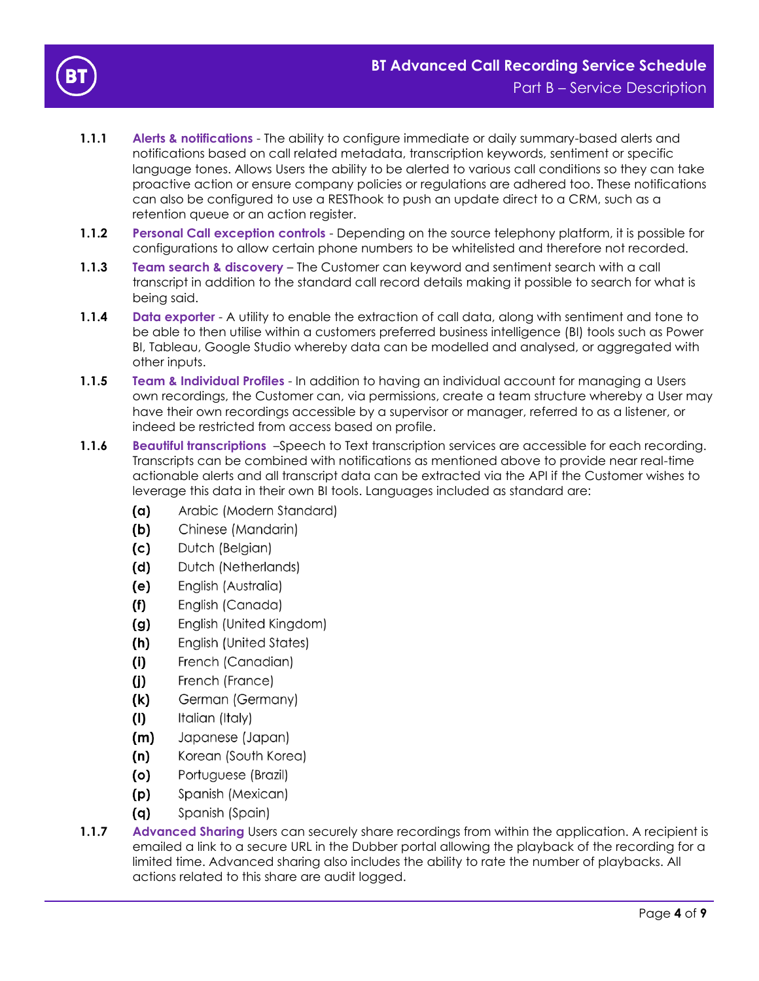

- **1.1.1 Alerts & notifications** The ability to configure immediate or daily summary-based alerts and notifications based on call related metadata, transcription keywords, sentiment or specific language tones. Allows Users the ability to be alerted to various call conditions so they can take proactive action or ensure company policies or regulations are adhered too. These notifications can also be configured to use a RESThook to push an update direct to a CRM, such as a retention queue or an action register.
- **1.1.2 Personal Call exception controls** Depending on the source telephony platform, it is possible for configurations to allow certain phone numbers to be whitelisted and therefore not recorded.
- **1.1.3 Team search & discovery**  The Customer can keyword and sentiment search with a call transcript in addition to the standard call record details making it possible to search for what is being said.
- **1.1.4 Data exporter** A utility to enable the extraction of call data, along with sentiment and tone to be able to then utilise within a customers preferred business intelligence (BI) tools such as Power BI, Tableau, Google Studio whereby data can be modelled and analysed, or aggregated with other inputs.
- **1.1.5 Team & Individual Profiles** In addition to having an individual account for managing a Users own recordings, the Customer can, via permissions, create a team structure whereby a User may have their own recordings accessible by a supervisor or manager, referred to as a listener, or indeed be restricted from access based on profile.
- **1.1.6 Beautiful transcriptions** –Speech to Text transcription services are accessible for each recording. Transcripts can be combined with notifications as mentioned above to provide near real-time actionable alerts and all transcript data can be extracted via the API if the Customer wishes to leverage this data in their own BI tools. Languages included as standard are:
	- Arabic (Modern Standard) (a)
	- $(b)$ Chinese (Mandarin)
	- $(c)$ Dutch (Belgian)
	- $(d)$ Dutch (Netherlands)
	- $(e)$ English (Australia)
	- $(f)$ English (Canada)
	- English (United Kingdom)  $(g)$
	- $(h)$ English (United States)
	- French (Canadian)  $(i)$
	- $(j)$ French (France)
	- $(k)$ German (Germany)
	- Italian (Italy)  $(1)$
	- $(m)$ Japanese (Japan)
	- Korean (South Korea)  $(n)$
	- $(o)$ Portuguese (Brazil)
	- $(p)$ Spanish (Mexican)
	- $(q)$ Spanish (Spain)
- **1.1.7** Advanced Sharing Users can securely share recordings from within the application. A recipient is emailed a link to a secure URL in the Dubber portal allowing the playback of the recording for a limited time. Advanced sharing also includes the ability to rate the number of playbacks. All actions related to this share are audit logged.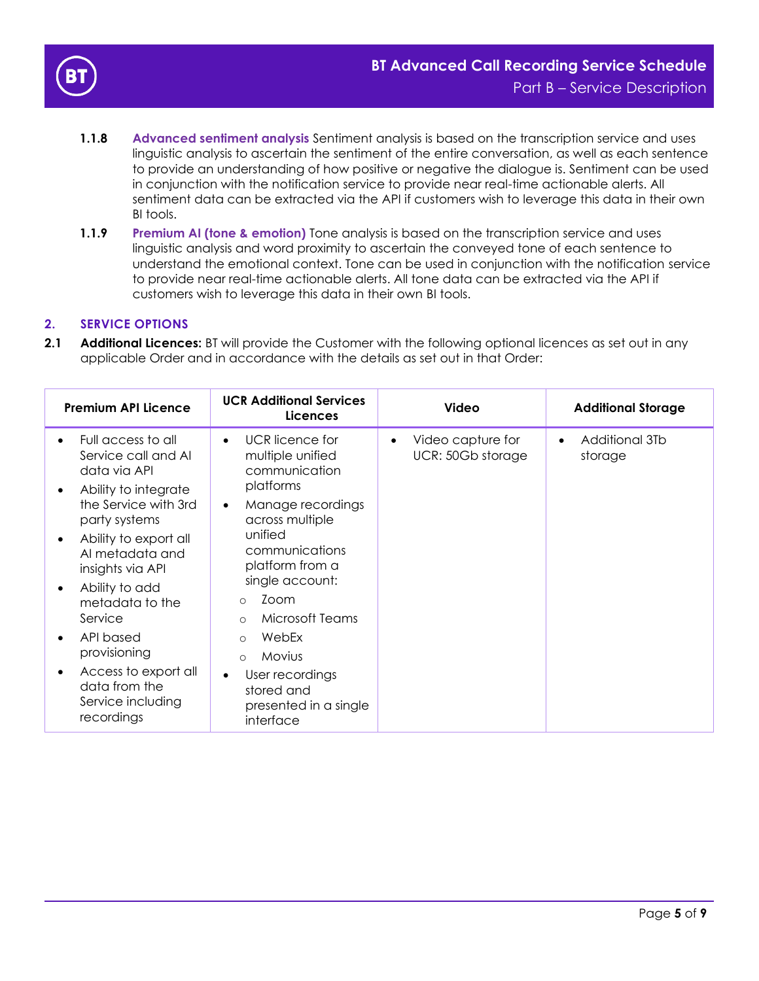

- **1.1.8 Advanced sentiment analysis** Sentiment analysis is based on the transcription service and uses linguistic analysis to ascertain the sentiment of the entire conversation, as well as each sentence to provide an understanding of how positive or negative the dialogue is. Sentiment can be used in conjunction with the notification service to provide near real-time actionable alerts. All sentiment data can be extracted via the API if customers wish to leverage this data in their own BI tools.
- **1.1.9** Premium AI (tone & emotion) Tone analysis is based on the transcription service and uses linguistic analysis and word proximity to ascertain the conveyed tone of each sentence to understand the emotional context. Tone can be used in conjunction with the notification service to provide near real-time actionable alerts. All tone data can be extracted via the API if customers wish to leverage this data in their own BI tools.

# **2. SERVICE OPTIONS**

**2.1 Additional Licences:** BT will provide the Customer with the following optional licences as set out in any applicable Order and in accordance with the details as set out in that Order:

|                        | <b>Premium API Licence</b>                                                        | <b>UCR Additional Services</b><br><b>Licences</b>                              | <b>Video</b>                                        | <b>Additional Storage</b>              |
|------------------------|-----------------------------------------------------------------------------------|--------------------------------------------------------------------------------|-----------------------------------------------------|----------------------------------------|
| $\bullet$<br>$\bullet$ | Full access to all<br>Service call and Al<br>data via API<br>Ability to integrate | UCR licence for<br>$\bullet$<br>multiple unified<br>communication<br>platforms | Video capture for<br>$\bullet$<br>UCR: 50Gb storage | Additional 3Tb<br>$\bullet$<br>storage |
|                        | the Service with 3rd<br>party systems                                             | Manage recordings<br>$\bullet$<br>across multiple                              |                                                     |                                        |
| $\bullet$              | Ability to export all<br>Al metadata and<br>insights via API                      | unified<br>communications<br>platform from a                                   |                                                     |                                        |
| $\bullet$              | Ability to add<br>metadata to the<br>Service                                      | single account:<br>Zoom<br>$\circ$<br>Microsoft Teams<br>$\circ$               |                                                     |                                        |
| $\bullet$              | API based<br>provisioning                                                         | WebEx<br>$\Omega$<br>Movius<br>$\Omega$                                        |                                                     |                                        |
| $\bullet$              | Access to export all<br>data from the<br>Service including<br>recordings          | User recordings<br>stored and<br>presented in a single<br>interface            |                                                     |                                        |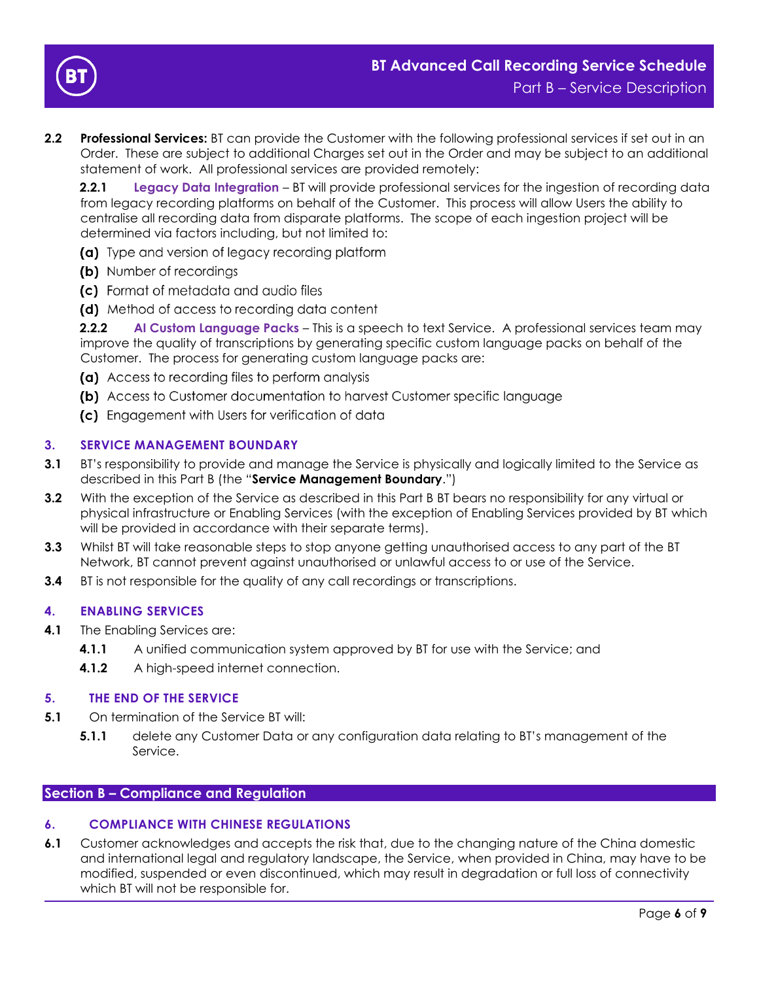

**2.2 Professional Services:** BT can provide the Customer with the following professional services if set out in an Order. These are subject to additional Charges set out in the Order and may be subject to an additional statement of work. All professional services are provided remotely:

**2.2.1 Legacy Data Integration** – BT will provide professional services for the ingestion of recording data from legacy recording platforms on behalf of the Customer. This process will allow Users the ability to centralise all recording data from disparate platforms. The scope of each ingestion project will be determined via factors including, but not limited to:

- (a) Type and version of legacy recording platform
- (b) Number of recordings
- (c) Format of metadata and audio files
- (d) Method of access to recording data content

**2.2.2 AI Custom Language Packs** – This is a speech to text Service. A professional services team may improve the quality of transcriptions by generating specific custom language packs on behalf of the Customer. The process for generating custom language packs are:

- (a) Access to recording files to perform analysis
- (b) Access to Customer documentation to harvest Customer specific language
- (c) Engagement with Users for verification of data

# **3. SERVICE MANAGEMENT BOUNDARY**

- **3.1** BT's responsibility to provide and manage the Service is physically and logically limited to the Service as described in this Part B (the "**Service Management Boundary**.")
- **3.2** With the exception of the Service as described in this Part B BT bears no responsibility for any virtual or physical infrastructure or Enabling Services (with the exception of Enabling Services provided by BT which will be provided in accordance with their separate terms).
- **3.3** Whilst BT will take reasonable steps to stop anyone getting unauthorised access to any part of the BT Network, BT cannot prevent against unauthorised or unlawful access to or use of the Service.
- **3.4** BT is not responsible for the quality of any call recordings or transcriptions.

## **4. ENABLING SERVICES**

- **4.1** The Enabling Services are:
	- **4.1.1** A unified communication system approved by BT for use with the Service; and
	- **4.1.2** A high-speed internet connection.

## **5. THE END OF THE SERVICE**

- **5.1** On termination of the Service BT will:
	- **5.1.1** delete any Customer Data or any configuration data relating to BT's management of the Service.

## **Section B – Compliance and Regulation**

## **6. COMPLIANCE WITH CHINESE REGULATIONS**

**6.1** Customer acknowledges and accepts the risk that, due to the changing nature of the China domestic and international legal and regulatory landscape, the Service, when provided in China, may have to be modified, suspended or even discontinued, which may result in degradation or full loss of connectivity which BT will not be responsible for.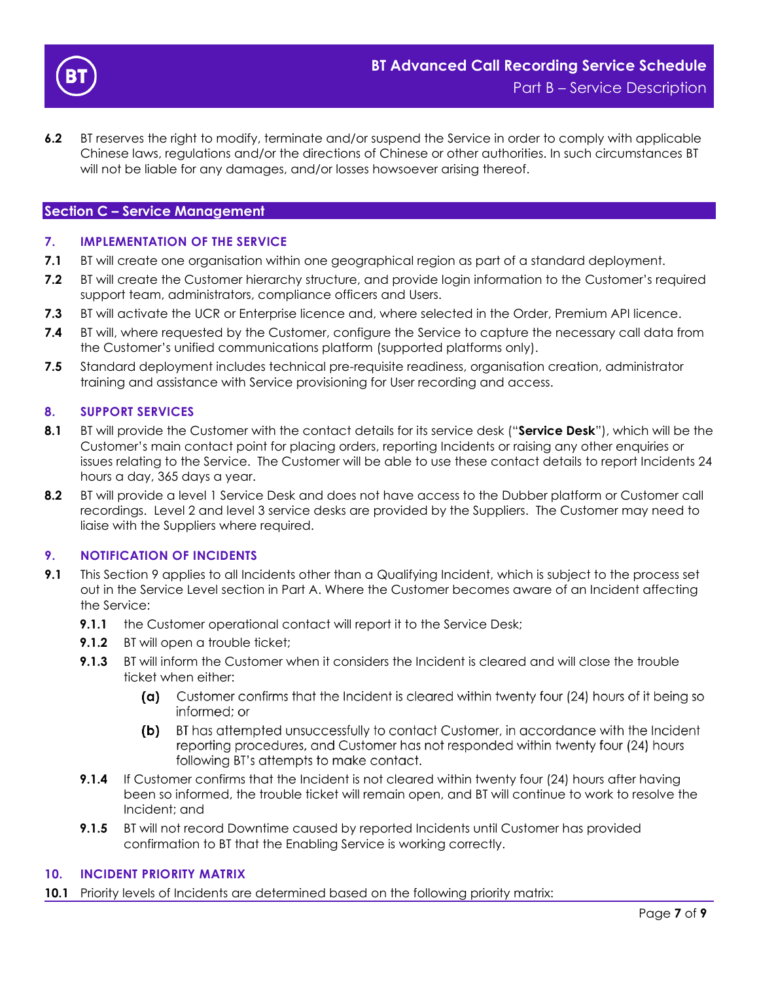

**6.2** BT reserves the right to modify, terminate and/or suspend the Service in order to comply with applicable Chinese laws, regulations and/or the directions of Chinese or other authorities. In such circumstances BT will not be liable for any damages, and/or losses howsoever arising thereof.

# **Section C – Service Management**

#### **7. IMPLEMENTATION OF THE SERVICE**

- **7.1** BT will create one organisation within one geographical region as part of a standard deployment.
- **7.2** BT will create the Customer hierarchy structure, and provide login information to the Customer's required support team, administrators, compliance officers and Users.
- **7.3** BT will activate the UCR or Enterprise licence and, where selected in the Order, Premium API licence.
- **7.4** BT will, where requested by the Customer, configure the Service to capture the necessary call data from the Customer's unified communications platform (supported platforms only).
- **7.5** Standard deployment includes technical pre-requisite readiness, organisation creation, administrator training and assistance with Service provisioning for User recording and access.

#### **8. SUPPORT SERVICES**

- **8.1** BT will provide the Customer with the contact details for its service desk ("**Service Desk**"), which will be the Customer's main contact point for placing orders, reporting Incidents or raising any other enquiries or issues relating to the Service. The Customer will be able to use these contact details to report Incidents 24 hours a day, 365 days a year.
- **8.2** BT will provide a level 1 Service Desk and does not have access to the Dubber platform or Customer call recordings. Level 2 and level 3 service desks are provided by the Suppliers. The Customer may need to liaise with the Suppliers where required.

## <span id="page-6-0"></span>**9. NOTIFICATION OF INCIDENTS**

- **9.1** This Section [9](#page-6-0) applies to all Incidents other than a Qualifying Incident, which is subject to the process set out in the Service Level section in Part A. Where the Customer becomes aware of an Incident affecting the Service:
	- **9.1.1** the Customer operational contact will report it to the Service Desk;
	- **9.1.2** BT will open a trouble ticket:
	- **9.1.3** BT will inform the Customer when it considers the Incident is cleared and will close the trouble ticket when either:
		- (a) Customer confirms that the Incident is cleared within twenty four (24) hours of it being so informed: or
		- BT has attempted unsuccessfully to contact Customer, in accordance with the Incident (b) reporting procedures, and Customer has not responded within twenty four (24) hours following BT's attempts to make contact.
	- **9.1.4** If Customer confirms that the Incident is not cleared within twenty four (24) hours after having been so informed, the trouble ticket will remain open, and BT will continue to work to resolve the Incident; and
	- **9.1.5** BT will not record Downtime caused by reported Incidents until Customer has provided confirmation to BT that the Enabling Service is working correctly.

#### **10. INCIDENT PRIORITY MATRIX**

**10.1** Priority levels of Incidents are determined based on the following priority matrix: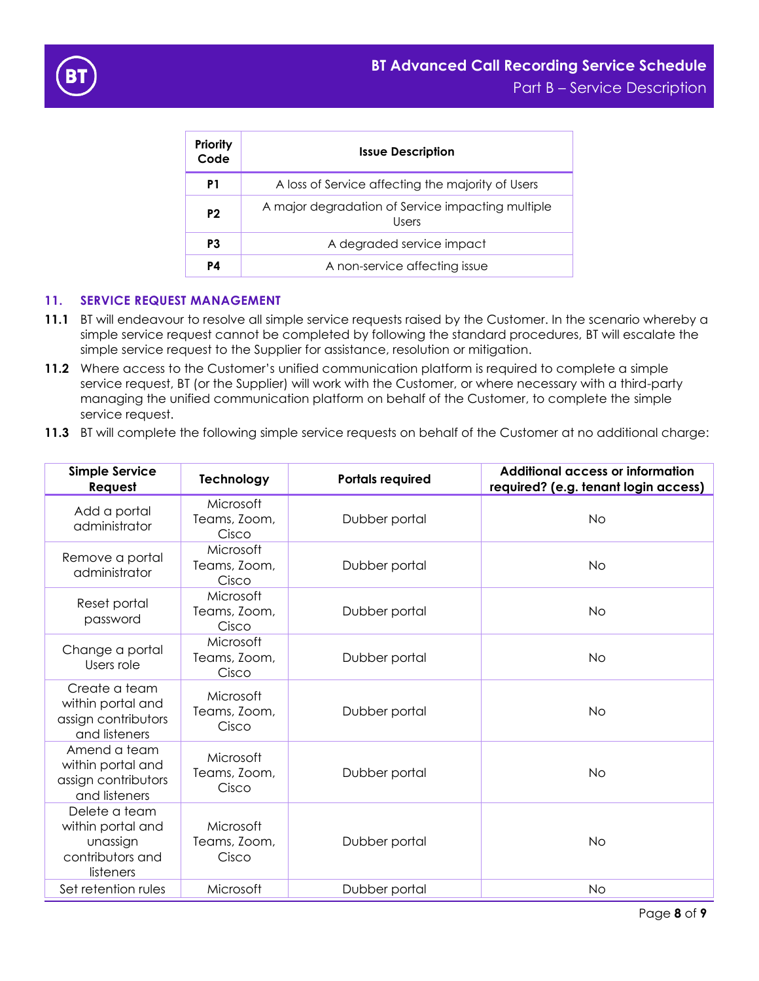

| Priority<br>Code | <b>Issue Description</b>                                   |  |
|------------------|------------------------------------------------------------|--|
| P1               | A loss of Service affecting the majority of Users          |  |
| P <sub>2</sub>   | A major degradation of Service impacting multiple<br>Users |  |
| P3               | A degraded service impact                                  |  |
| P4               | A non-service affecting issue                              |  |

# **11. SERVICE REQUEST MANAGEMENT**

- **11.1** BT will endeavour to resolve all simple service requests raised by the Customer. In the scenario whereby a simple service request cannot be completed by following the standard procedures, BT will escalate the simple service request to the Supplier for assistance, resolution or mitigation.
- **11.2** Where access to the Customer's unified communication platform is required to complete a simple service request, BT (or the Supplier) will work with the Customer, or where necessary with a third-party managing the unified communication platform on behalf of the Customer, to complete the simple service request.
- **11.3** BT will complete the following simple service requests on behalf of the Customer at no additional charge:

| <b>Simple Service</b><br>Request                                                | Technology                         | <b>Portals required</b> | <b>Additional access or information</b><br>required? (e.g. tenant login access) |
|---------------------------------------------------------------------------------|------------------------------------|-------------------------|---------------------------------------------------------------------------------|
| Add a portal<br>administrator                                                   | Microsoft<br>Teams, Zoom,<br>Cisco | Dubber portal           | <b>No</b>                                                                       |
| Remove a portal<br>administrator                                                | Microsoft<br>Teams, Zoom,<br>Cisco | Dubber portal           | <b>No</b>                                                                       |
| Reset portal<br>password                                                        | Microsoft<br>Teams, Zoom,<br>Cisco | Dubber portal           | <b>No</b>                                                                       |
| Change a portal<br>Users role                                                   | Microsoft<br>Teams, Zoom,<br>Cisco | Dubber portal           | <b>No</b>                                                                       |
| Create a team<br>within portal and<br>assign contributors<br>and listeners      | Microsoft<br>Teams, Zoom,<br>Cisco | Dubber portal           | <b>No</b>                                                                       |
| Amend a team<br>within portal and<br>assign contributors<br>and listeners       | Microsoft<br>Teams, Zoom,<br>Cisco | Dubber portal           | <b>No</b>                                                                       |
| Delete a team<br>within portal and<br>unassign<br>contributors and<br>listeners | Microsoft<br>Teams, Zoom,<br>Cisco | Dubber portal           | <b>No</b>                                                                       |
| Set retention rules                                                             | Microsoft                          | Dubber portal           | <b>No</b>                                                                       |